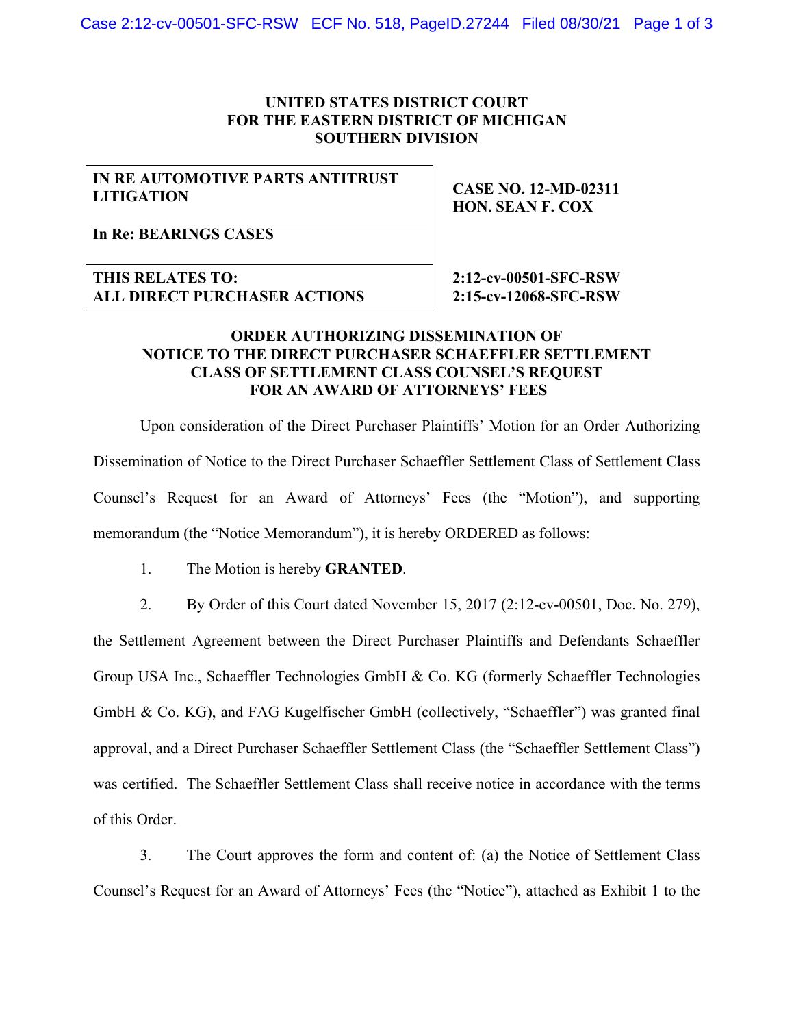## **UNITED STATES DISTRICT COURT FOR THE EASTERN DISTRICT OF MICHIGAN SOUTHERN DIVISION**

## **IN RE AUTOMOTIVE PARTS ANTITRUST LITIGATION**

**CASE NO. 12-MD-02311 HON. SEAN F. COX** 

**In Re: BEARINGS CASES** 

**THIS RELATES TO: ALL DIRECT PURCHASER ACTIONS**   **2:12-cv-00501-SFC-RSW 2:15-cv-12068-SFC-RSW** 

## **ORDER AUTHORIZING DISSEMINATION OF NOTICE TO THE DIRECT PURCHASER SCHAEFFLER SETTLEMENT CLASS OF SETTLEMENT CLASS COUNSEL'S REQUEST FOR AN AWARD OF ATTORNEYS' FEES**

Upon consideration of the Direct Purchaser Plaintiffs' Motion for an Order Authorizing Dissemination of Notice to the Direct Purchaser Schaeffler Settlement Class of Settlement Class Counsel's Request for an Award of Attorneys' Fees (the "Motion"), and supporting memorandum (the "Notice Memorandum"), it is hereby ORDERED as follows:

1. The Motion is hereby **GRANTED**.

2. By Order of this Court dated November 15, 2017 (2:12-cv-00501, Doc. No. 279),

the Settlement Agreement between the Direct Purchaser Plaintiffs and Defendants Schaeffler Group USA Inc., Schaeffler Technologies GmbH & Co. KG (formerly Schaeffler Technologies GmbH & Co. KG), and FAG Kugelfischer GmbH (collectively, "Schaeffler") was granted final approval, and a Direct Purchaser Schaeffler Settlement Class (the "Schaeffler Settlement Class") was certified. The Schaeffler Settlement Class shall receive notice in accordance with the terms of this Order.

3. The Court approves the form and content of: (a) the Notice of Settlement Class Counsel's Request for an Award of Attorneys' Fees (the "Notice"), attached as Exhibit 1 to the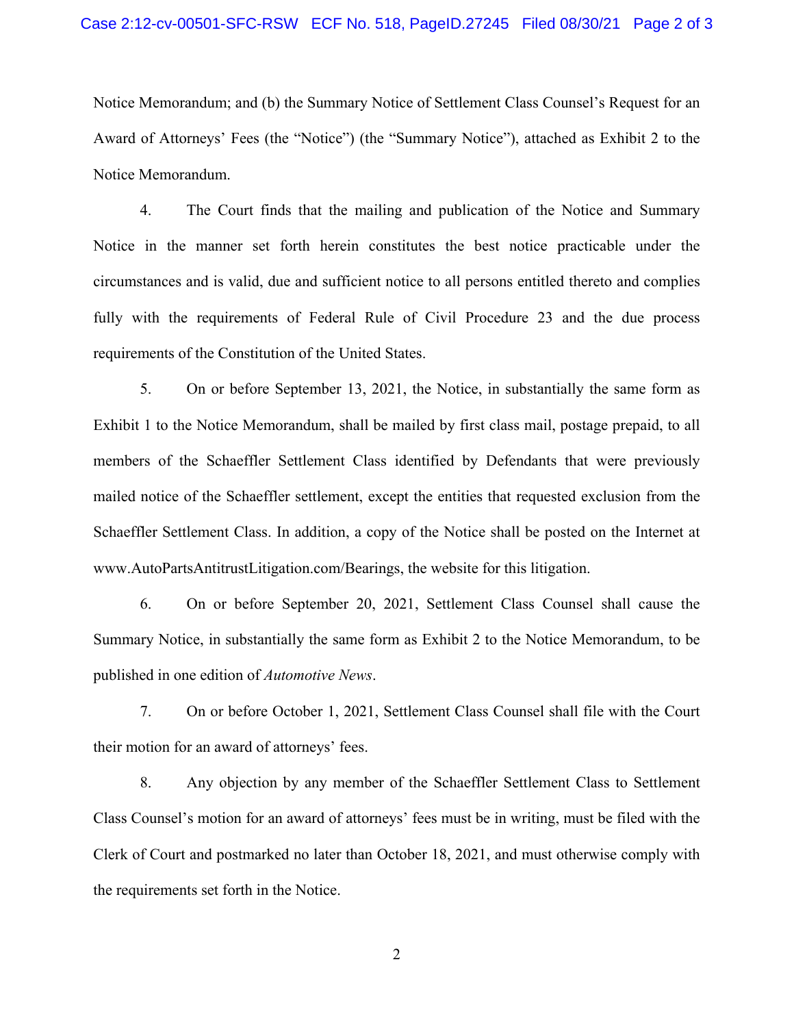Notice Memorandum; and (b) the Summary Notice of Settlement Class Counsel's Request for an Award of Attorneys' Fees (the "Notice") (the "Summary Notice"), attached as Exhibit 2 to the Notice Memorandum.

4. The Court finds that the mailing and publication of the Notice and Summary Notice in the manner set forth herein constitutes the best notice practicable under the circumstances and is valid, due and sufficient notice to all persons entitled thereto and complies fully with the requirements of Federal Rule of Civil Procedure 23 and the due process requirements of the Constitution of the United States.

5. On or before September 13, 2021, the Notice, in substantially the same form as Exhibit 1 to the Notice Memorandum, shall be mailed by first class mail, postage prepaid, to all members of the Schaeffler Settlement Class identified by Defendants that were previously mailed notice of the Schaeffler settlement, except the entities that requested exclusion from the Schaeffler Settlement Class. In addition, a copy of the Notice shall be posted on the Internet at www.AutoPartsAntitrustLitigation.com/Bearings, the website for this litigation.

6. On or before September 20, 2021, Settlement Class Counsel shall cause the Summary Notice, in substantially the same form as Exhibit 2 to the Notice Memorandum, to be published in one edition of *Automotive News*.

7. On or before October 1, 2021, Settlement Class Counsel shall file with the Court their motion for an award of attorneys' fees.

8. Any objection by any member of the Schaeffler Settlement Class to Settlement Class Counsel's motion for an award of attorneys' fees must be in writing, must be filed with the Clerk of Court and postmarked no later than October 18, 2021, and must otherwise comply with the requirements set forth in the Notice.

2